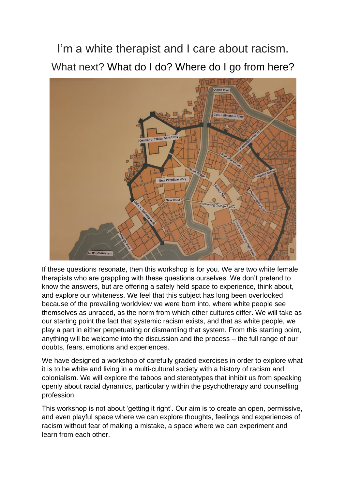I'm a white therapist and I care about racism. What next? What do I do? Where do I go from here?



If these questions resonate, then this workshop is for you. We are two white female therapists who are grappling with these questions ourselves. We don't pretend to know the answers, but are offering a safely held space to experience, think about, and explore our whiteness. We feel that this subject has long been overlooked because of the prevailing worldview we were born into, where white people see themselves as unraced, as the norm from which other cultures differ. We will take as our starting point the fact that systemic racism exists, and that as white people, we play a part in either perpetuating or dismantling that system. From this starting point, anything will be welcome into the discussion and the process – the full range of our doubts, fears, emotions and experiences.

We have designed a workshop of carefully graded exercises in order to explore what it is to be white and living in a multi-cultural society with a history of racism and colonialism. We will explore the taboos and stereotypes that inhibit us from speaking openly about racial dynamics, particularly within the psychotherapy and counselling profession.

This workshop is not about 'getting it right'. Our aim is to create an open, permissive, and even playful space where we can explore thoughts, feelings and experiences of racism without fear of making a mistake, a space where we can experiment and learn from each other.